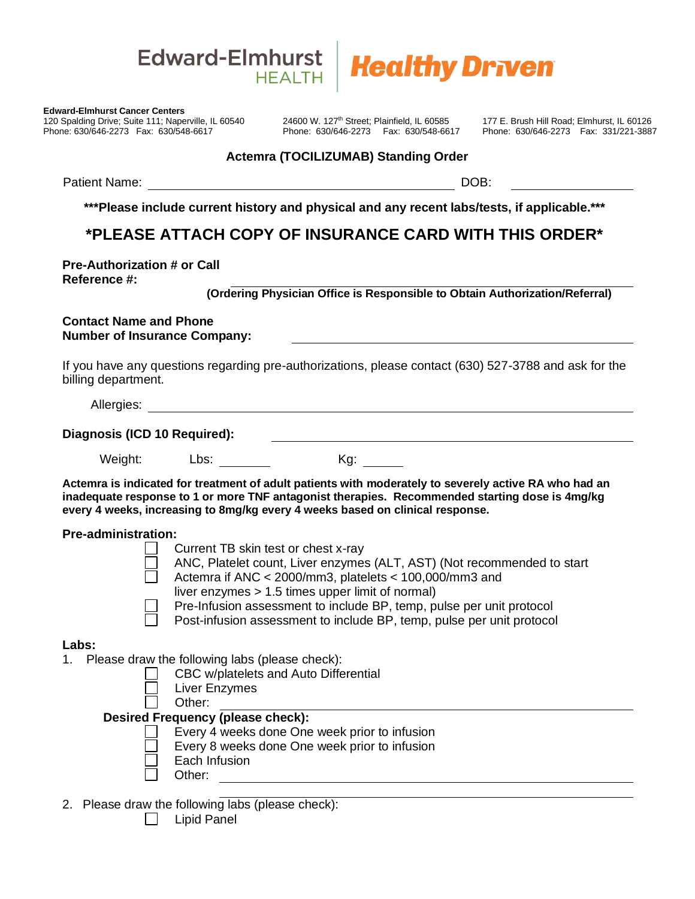



120 Spalding Drive; Suite 111; Naperville, IL 60540 24600 W. 127<sup>th</sup> Street; Plainfield, IL 60585 177 E. Brush Hill Road; Elmhurst, IL 60126 Phone: 630/646-2273 Fax: 630/548-6617 Phone: 630/646-2273 Fax: 630/548-6617 Phone: 630/646-2273 Fax: 331/221-3887

## **Actemra (TOCILIZUMAB) Standing Order**

Patient Name: DOB:

**\*\*\*Please include current history and physical and any recent labs/tests, if applicable.\*\*\***

# **\*PLEASE ATTACH COPY OF INSURANCE CARD WITH THIS ORDER\***

**Pre-Authorization # or Call Reference #:**

 **(Ordering Physician Office is Responsible to Obtain Authorization/Referral)**

#### **Contact Name and Phone Number of Insurance Company:**

If you have any questions regarding pre-authorizations, please contact (630) 527-3788 and ask for the billing department.

Allergies: **Allergies: Allergies: Allergies: Allergies: Allergies: Allergies: Allergies: Allergies: Allergies: Allergies: Allergies: Allergies: Allergies: Allergies: Allergies: Allergies: Al** 

| Diagnosis (ICD 10 Required): |  |
|------------------------------|--|
|                              |  |

Weight: Lbs: Kg:

**Actemra is indicated for treatment of adult patients with moderately to severely active RA who had an inadequate response to 1 or more TNF antagonist therapies. Recommended starting dose is 4mg/kg every 4 weeks, increasing to 8mg/kg every 4 weeks based on clinical response.** Edward-Elmhurst Cancer Centers<br>
120 Spalding Drive; Suite 111; Naperville, IL 605-<br>
Pione: 630/646-2273 Fax: 630/548-6617<br>
Patient Name:<br>
\*\*\*Please include current<br>
\*\*Please include current<br>
\*\*Please include current<br>
\*\*Ple

### **Pre-administration:**

| Current TB skin test or chest x-ray |  |  |  |  |
|-------------------------------------|--|--|--|--|
|                                     |  |  |  |  |

- ANC, Platelet count, Liver enzymes (ALT, AST) (Not recommended to start Actemra if ANC < 2000/mm3, platelets < 100,000/mm3 and
- liver enzymes > 1.5 times upper limit of normal)
- Pre-Infusion assessment to include BP, temp, pulse per unit protocol
- Post-infusion assessment to include BP, temp, pulse per unit protocol

### **Labs:**

- 1. Please draw the following labs (please check):
	- CBC w/platelets and Auto Differential
	- Liver Enzymes
	- Other:

### **Desired Frequency (please check):**

- Every 4 weeks done One week prior to infusion
- Every 8 weeks done One week prior to infusion
- Each Infusion
- Other:
- 2. Please draw the following labs (please check):
	-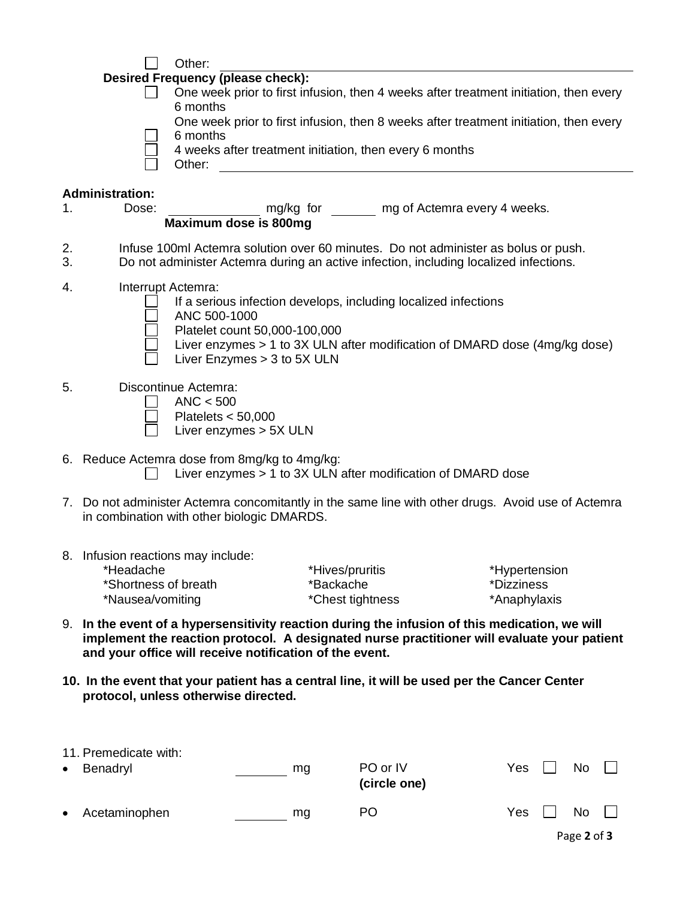|                           | Other:                                                                                            |
|---------------------------|---------------------------------------------------------------------------------------------------|
|                           | <b>Desired Frequency (please check):</b>                                                          |
|                           | One week prior to first infusion, then 4 weeks after treatment initiation, then every<br>6 months |
|                           | One week prior to first infusion, then 8 weeks after treatment initiation, then every<br>6 months |
|                           | 4 weeks after treatment initiation, then every 6 months<br>Other:                                 |
| المحامل فالقامسة والمرادي |                                                                                                   |

# **Administration:**

| Dose: | mg/kg for             | mg of Actemra every 4 weeks. |
|-------|-----------------------|------------------------------|
|       | Maximum dose is 800mg |                              |

- 2. Infuse 100ml Actemra solution over 60 minutes. Do not administer as bolus or push.
- 3. Do not administer Actemra during an active infection, including localized infections.
- 4. Interrupt Actemra:
	- If a serious infection develops, including localized infections
	- ANC 500-1000
		- Platelet count 50,000-100,000
		- Liver enzymes > 1 to 3X ULN after modification of DMARD dose (4mg/kg dose)
		- Liver Enzymes > 3 to 5X ULN

#### 5. Discontinue Actemra:

- $ANC < 500$  $\Box$
- Platelets < 50,000
- $\Box$  Liver enzymes > 5X ULN
- 6. Reduce Actemra dose from 8mg/kg to 4mg/kg:
	- $\Box$  Liver enzymes > 1 to 3X ULN after modification of DMARD dose
- 7. Do not administer Actemra concomitantly in the same line with other drugs. Avoid use of Actemra in combination with other biologic DMARDS.
- 8. Infusion reactions may include:

| *Headache            | *Hives/pruritis  | *Hypertension |
|----------------------|------------------|---------------|
| *Shortness of breath | *Backache        | *Dizziness    |
| *Nausea/vomiting     | *Chest tightness | *Anaphylaxis  |

- 9. **In the event of a hypersensitivity reaction during the infusion of this medication, we will implement the reaction protocol. A designated nurse practitioner will evaluate your patient and your office will receive notification of the event.**
- **10. In the event that your patient has a central line, it will be used per the Cancer Center protocol, unless otherwise directed.**

|           | 11. Premedicate with:<br>• Benadryl | mg | PO or IV<br>(circle one) | Yes | No        | $\Box$ |
|-----------|-------------------------------------|----|--------------------------|-----|-----------|--------|
| $\bullet$ | Acetaminophen                       | mg | PO                       | Yes | <b>No</b> |        |